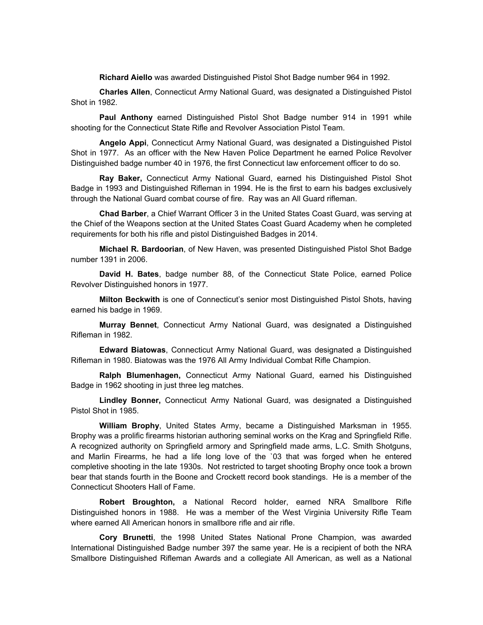**Richard Aiello** was awarded Distinguished Pistol Shot Badge number 964 in 1992.

**Charles Allen**, Connecticut Army National Guard, was designated a Distinguished Pistol Shot in 1982.

**Paul Anthony** earned Distinguished Pistol Shot Badge number 914 in 1991 while shooting for the Connecticut State Rifle and Revolver Association Pistol Team.

**Angelo Appi**, Connecticut Army National Guard, was designated a Distinguished Pistol Shot in 1977. As an officer with the New Haven Police Department he earned Police Revolver Distinguished badge number 40 in 1976, the first Connecticut law enforcement officer to do so.

**Ray Baker,** Connecticut Army National Guard, earned his Distinguished Pistol Shot Badge in 1993 and Distinguished Rifleman in 1994. He is the first to earn his badges exclusively through the National Guard combat course of fire. Ray was an All Guard rifleman.

**Chad Barber**, a Chief Warrant Officer 3 in the United States Coast Guard, was serving at the Chief of the Weapons section at the United States Coast Guard Academy when he completed requirements for both his rifle and pistol Distinguished Badges in 2014.

**Michael R. Bardoorian**, of New Haven, was presented Distinguished Pistol Shot Badge number 1391 in 2006.

**David H. Bates**, badge number 88, of the Connecticut State Police, earned Police Revolver Distinguished honors in 1977.

**Milton Beckwith** is one of Connecticut's senior most Distinguished Pistol Shots, having earned his badge in 1969.

**Murray Bennet**, Connecticut Army National Guard, was designated a Distinguished Rifleman in 1982.

**Edward Biatowas**, Connecticut Army National Guard, was designated a Distinguished Rifleman in 1980. Biatowas was the 1976 All Army Individual Combat Rifle Champion.

**Ralph Blumenhagen,** Connecticut Army National Guard, earned his Distinguished Badge in 1962 shooting in just three leg matches.

**Lindley Bonner,** Connecticut Army National Guard, was designated a Distinguished Pistol Shot in 1985.

**William Brophy**, United States Army, became a Distinguished Marksman in 1955. Brophy was a prolific firearms historian authoring seminal works on the Krag and Springfield Rifle. A recognized authority on Springfield armory and Springfield made arms, L.C. Smith Shotguns, and Marlin Firearms, he had a life long love of the `03 that was forged when he entered completive shooting in the late 1930s. Not restricted to target shooting Brophy once took a brown bear that stands fourth in the Boone and Crockett record book standings. He is a member of the Connecticut Shooters Hall of Fame.

**Robert Broughton,** a National Record holder, earned NRA Smallbore Rifle Distinguished honors in 1988. He was a member of the West Virginia University Rifle Team where earned All American honors in smallbore rifle and air rifle.

**Cory Brunetti**, the 1998 United States National Prone Champion, was awarded International Distinguished Badge number 397 the same year. He is a recipient of both the NRA Smallbore Distinguished Rifleman Awards and a collegiate All American, as well as a National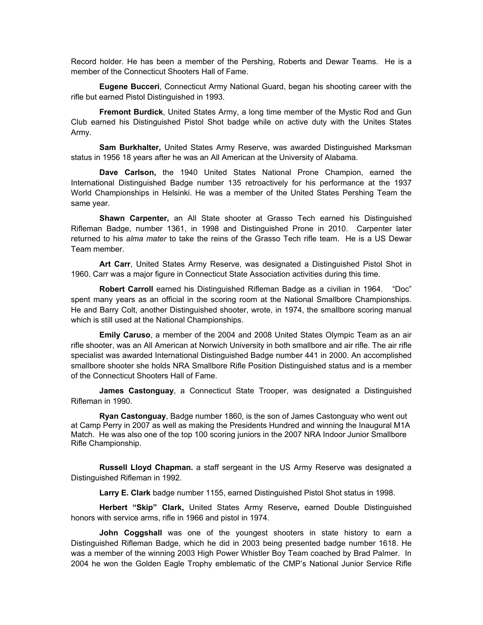Record holder. He has been a member of the Pershing, Roberts and Dewar Teams. He is a member of the Connecticut Shooters Hall of Fame.

**Eugene Bucceri**, Connecticut Army National Guard, began his shooting career with the rifle but earned Pistol Distinguished in 1993.

**Fremont Burdick**, United States Army, a long time member of the Mystic Rod and Gun Club earned his Distinguished Pistol Shot badge while on active duty with the Unites States Army.

**Sam Burkhalter,** United States Army Reserve, was awarded Distinguished Marksman status in 1956 18 years after he was an All American at the University of Alabama.

**Dave Carlson,** the 1940 United States National Prone Champion, earned the International Distinguished Badge number 135 retroactively for his performance at the 1937 World Championships in Helsinki. He was a member of the United States Pershing Team the same year.

**Shawn Carpenter,** an All State shooter at Grasso Tech earned his Distinguished Rifleman Badge, number 1361, in 1998 and Distinguished Prone in 2010. Carpenter later returned to his *alma mater* to take the reins of the Grasso Tech rifle team. He is a US Dewar Team member.

**Art Carr**, United States Army Reserve, was designated a Distinguished Pistol Shot in 1960. Carr was a major figure in Connecticut State Association activities during this time.

**Robert Carroll** earned his Distinguished Rifleman Badge as a civilian in 1964. "Doc" spent many years as an official in the scoring room at the National Smallbore Championships. He and Barry Colt, another Distinguished shooter, wrote, in 1974, the smallbore scoring manual which is still used at the National Championships.

**Emily Caruso**, a member of the 2004 and 2008 United States Olympic Team as an air rifle shooter, was an All American at Norwich University in both smallbore and air rifle. The air rifle specialist was awarded International Distinguished Badge number 441 in 2000. An accomplished smallbore shooter she holds NRA Smallbore Rifle Position Distinguished status and is a member of the Connecticut Shooters Hall of Fame.

**James Castonguay**, a Connecticut State Trooper, was designated a Distinguished Rifleman in 1990.

**Ryan Castonguay**, Badge number 1860, is the son of James Castonguay who went out at Camp Perry in 2007 as well as making the Presidents Hundred and winning the Inaugural M1A Match. He was also one of the top 100 scoring juniors in the 2007 NRA Indoor Junior Smallbore Rifle Championship.

**Russell Lloyd Chapman.** a staff sergeant in the US Army Reserve was designated a Distinguished Rifleman in 1992.

**Larry E. Clark** badge number 1155, earned Distinguished Pistol Shot status in 1998.

**Herbert "Skip" Clark,** United States Army Reserve**,** earned Double Distinguished honors with service arms, rifle in 1966 and pistol in 1974.

**John Coggshall** was one of the youngest shooters in state history to earn a Distinguished Rifleman Badge, which he did in 2003 being presented badge number 1618. He was a member of the winning 2003 High Power Whistler Boy Team coached by Brad Palmer. In 2004 he won the Golden Eagle Trophy emblematic of the CMP's National Junior Service Rifle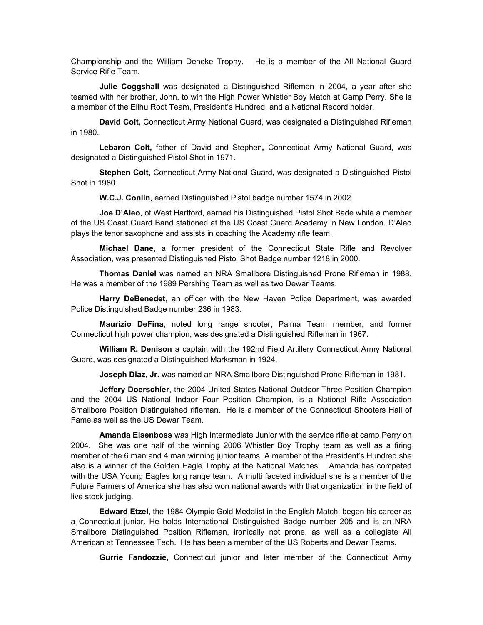Championship and the William Deneke Trophy. He is a member of the All National Guard Service Rifle Team.

**Julie Coggshall** was designated a Distinguished Rifleman in 2004, a year after she teamed with her brother, John, to win the High Power Whistler Boy Match at Camp Perry. She is a member of the Elihu Root Team, President's Hundred, and a National Record holder.

**David Colt,** Connecticut Army National Guard, was designated a Distinguished Rifleman in 1980.

**Lebaron Colt,** father of David and Stephen**,** Connecticut Army National Guard, was designated a Distinguished Pistol Shot in 1971.

**Stephen Colt**, Connecticut Army National Guard, was designated a Distinguished Pistol Shot in 1980.

**W.C.J. Conlin**, earned Distinguished Pistol badge number 1574 in 2002.

**Joe D'Aleo**, of West Hartford, earned his Distinguished Pistol Shot Bade while a member of the US Coast Guard Band stationed at the US Coast Guard Academy in New London. D'Aleo plays the tenor saxophone and assists in coaching the Academy rifle team.

**Michael Dane,** a former president of the Connecticut State Rifle and Revolver Association, was presented Distinguished Pistol Shot Badge number 1218 in 2000.

**Thomas Daniel** was named an NRA Smallbore Distinguished Prone Rifleman in 1988. He was a member of the 1989 Pershing Team as well as two Dewar Teams.

**Harry DeBenedet**, an officer with the New Haven Police Department, was awarded Police Distinguished Badge number 236 in 1983.

**Maurizio DeFina**, noted long range shooter, Palma Team member, and former Connecticut high power champion, was designated a Distinguished Rifleman in 1967.

**William R. Denison** a captain with the 192nd Field Artillery Connecticut Army National Guard, was designated a Distinguished Marksman in 1924.

**Joseph Diaz, Jr.** was named an NRA Smallbore Distinguished Prone Rifleman in 1981.

**Jeffery Doerschler**, the 2004 United States National Outdoor Three Position Champion and the 2004 US National Indoor Four Position Champion, is a National Rifle Association Smallbore Position Distinguished rifleman. He is a member of the Connecticut Shooters Hall of Fame as well as the US Dewar Team.

**Amanda Elsenboss** was High Intermediate Junior with the service rifle at camp Perry on 2004. She was one half of the winning 2006 Whistler Boy Trophy team as well as a firing member of the 6 man and 4 man winning junior teams. A member of the President's Hundred she also is a winner of the Golden Eagle Trophy at the National Matches. Amanda has competed with the USA Young Eagles long range team. A multi faceted individual she is a member of the Future Farmers of America she has also won national awards with that organization in the field of live stock judging.

**Edward Etzel**, the 1984 Olympic Gold Medalist in the English Match, began his career as a Connecticut junior. He holds International Distinguished Badge number 205 and is an NRA Smallbore Distinguished Position Rifleman, ironically not prone, as well as a collegiate All American at Tennessee Tech. He has been a member of the US Roberts and Dewar Teams.

**Gurrie Fandozzie,** Connecticut junior and later member of the Connecticut Army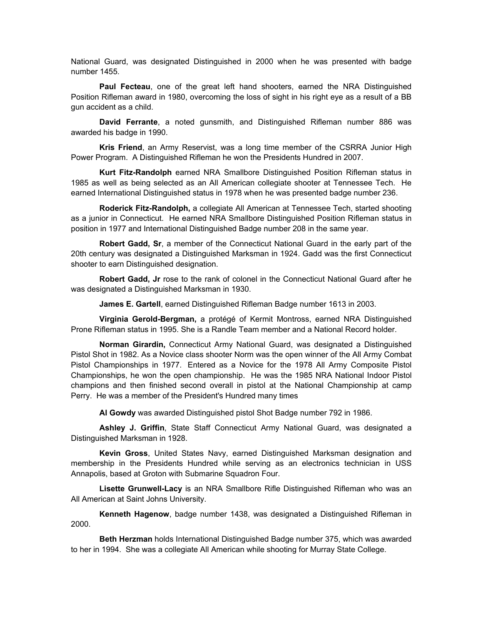National Guard, was designated Distinguished in 2000 when he was presented with badge number 1455.

**Paul Fecteau**, one of the great left hand shooters, earned the NRA Distinguished Position Rifleman award in 1980, overcoming the loss of sight in his right eye as a result of a BB gun accident as a child.

**David Ferrante**, a noted gunsmith, and Distinguished Rifleman number 886 was awarded his badge in 1990.

**Kris Friend**, an Army Reservist, was a long time member of the CSRRA Junior High Power Program. A Distinguished Rifleman he won the Presidents Hundred in 2007.

**Kurt Fitz-Randolph** earned NRA Smallbore Distinguished Position Rifleman status in 1985 as well as being selected as an All American collegiate shooter at Tennessee Tech. He earned International Distinguished status in 1978 when he was presented badge number 236.

**Roderick Fitz-Randolph,** a collegiate All American at Tennessee Tech, started shooting as a junior in Connecticut. He earned NRA Smallbore Distinguished Position Rifleman status in position in 1977 and International Distinguished Badge number 208 in the same year.

**Robert Gadd, Sr**, a member of the Connecticut National Guard in the early part of the 20th century was designated a Distinguished Marksman in 1924. Gadd was the first Connecticut shooter to earn Distinguished designation.

**Robert Gadd, Jr** rose to the rank of colonel in the Connecticut National Guard after he was designated a Distinguished Marksman in 1930.

**James E. Gartell**, earned Distinguished Rifleman Badge number 1613 in 2003.

**Virginia Gerold-Bergman,** a protégé of Kermit Montross, earned NRA Distinguished Prone Rifleman status in 1995. She is a Randle Team member and a National Record holder.

**Norman Girardin,** Connecticut Army National Guard, was designated a Distinguished Pistol Shot in 1982. As a Novice class shooter Norm was the open winner of the All Army Combat Pistol Championships in 1977. Entered as a Novice for the 1978 All Army Composite Pistol Championships, he won the open championship. He was the 1985 NRA National Indoor Pistol champions and then finished second overall in pistol at the National Championship at camp Perry. He was a member of the President's Hundred many times

**Al Gowdy** was awarded Distinguished pistol Shot Badge number 792 in 1986.

**Ashley J. Griffin**, State Staff Connecticut Army National Guard, was designated a Distinguished Marksman in 1928.

**Kevin Gross**, United States Navy, earned Distinguished Marksman designation and membership in the Presidents Hundred while serving as an electronics technician in USS Annapolis, based at Groton with Submarine Squadron Four.

**Lisette Grunwell-Lacy** is an NRA Smallbore Rifle Distinguished Rifleman who was an All American at Saint Johns University.

**Kenneth Hagenow**, badge number 1438, was designated a Distinguished Rifleman in 2000.

**Beth Herzman** holds International Distinguished Badge number 375, which was awarded to her in 1994. She was a collegiate All American while shooting for Murray State College.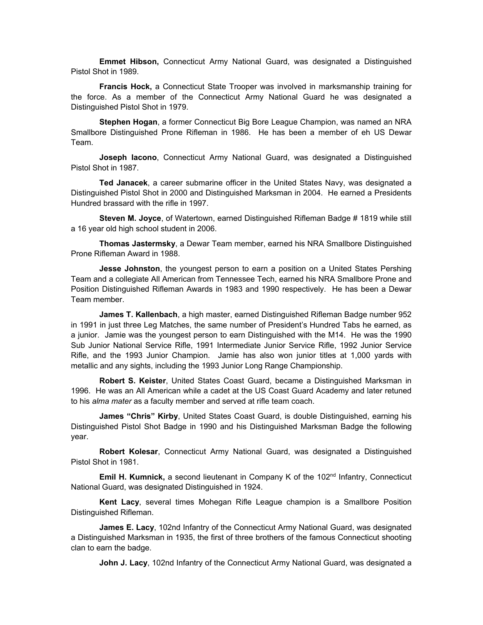**Emmet Hibson,** Connecticut Army National Guard, was designated a Distinguished Pistol Shot in 1989.

**Francis Hock,** a Connecticut State Trooper was involved in marksmanship training for the force. As a member of the Connecticut Army National Guard he was designated a Distinguished Pistol Shot in 1979.

**Stephen Hogan**, a former Connecticut Big Bore League Champion, was named an NRA Smallbore Distinguished Prone Rifleman in 1986. He has been a member of eh US Dewar Team.

**Joseph Iacono**, Connecticut Army National Guard, was designated a Distinguished Pistol Shot in 1987.

**Ted Janacek**, a career submarine officer in the United States Navy, was designated a Distinguished Pistol Shot in 2000 and Distinguished Marksman in 2004. He earned a Presidents Hundred brassard with the rifle in 1997.

**Steven M. Joyce**, of Watertown, earned Distinguished Rifleman Badge # 1819 while still a 16 year old high school student in 2006.

**Thomas Jastermsky**, a Dewar Team member, earned his NRA Smallbore Distinguished Prone Rifleman Award in 1988.

**Jesse Johnston**, the youngest person to earn a position on a United States Pershing Team and a collegiate All American from Tennessee Tech, earned his NRA Smallbore Prone and Position Distinguished Rifleman Awards in 1983 and 1990 respectively. He has been a Dewar Team member.

**James T. Kallenbach**, a high master, earned Distinguished Rifleman Badge number 952 in 1991 in just three Leg Matches, the same number of President's Hundred Tabs he earned, as a junior. Jamie was the youngest person to earn Distinguished with the M14. He was the 1990 Sub Junior National Service Rifle, 1991 Intermediate Junior Service Rifle, 1992 Junior Service Rifle, and the 1993 Junior Champion. Jamie has also won junior titles at 1,000 yards with metallic and any sights, including the 1993 Junior Long Range Championship.

**Robert S. Keister**, United States Coast Guard, became a Distinguished Marksman in 1996. He was an All American while a cadet at the US Coast Guard Academy and later retuned to his *alma mater* as a faculty member and served at rifle team coach.

**James "Chris" Kirby**, United States Coast Guard, is double Distinguished, earning his Distinguished Pistol Shot Badge in 1990 and his Distinguished Marksman Badge the following year.

**Robert Kolesar**, Connecticut Army National Guard, was designated a Distinguished Pistol Shot in 1981.

**Emil H. Kumnick, a second lieutenant in Company K of the 102<sup>nd</sup> Infantry, Connecticut** National Guard, was designated Distinguished in 1924.

**Kent Lacy**, several times Mohegan Rifle League champion is a Smallbore Position Distinguished Rifleman.

**James E. Lacy**, 102nd Infantry of the Connecticut Army National Guard, was designated a Distinguished Marksman in 1935, the first of three brothers of the famous Connecticut shooting clan to earn the badge.

**John J. Lacy**, 102nd Infantry of the Connecticut Army National Guard, was designated a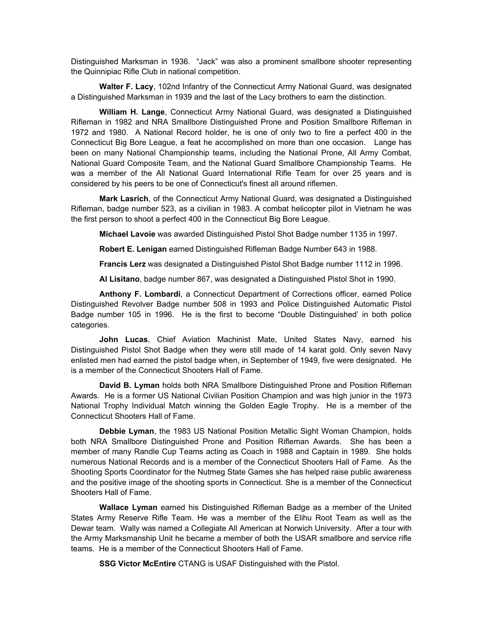Distinguished Marksman in 1936. "Jack" was also a prominent smallbore shooter representing the Quinnipiac Rifle Club in national competition.

**Walter F. Lacy**, 102nd Infantry of the Connecticut Army National Guard, was designated a Distinguished Marksman in 1939 and the last of the Lacy brothers to earn the distinction.

**William H. Lange**, Connecticut Army National Guard, was designated a Distinguished Rifleman in 1982 and NRA Smallbore Distinguished Prone and Position Smallbore Rifleman in 1972 and 1980. A National Record holder, he is one of only two to fire a perfect 400 in the Connecticut Big Bore League, a feat he accomplished on more than one occasion. Lange has been on many National Championship teams, including the National Prone, All Army Combat, National Guard Composite Team, and the National Guard Smallbore Championship Teams. He was a member of the All National Guard International Rifle Team for over 25 years and is considered by his peers to be one of Connecticut's finest all around riflemen.

**Mark Lasrich**, of the Connecticut Army National Guard, was designated a Distinguished Rifleman, badge number 523, as a civilian in 1983. A combat helicopter pilot in Vietnam he was the first person to shoot a perfect 400 in the Connecticut Big Bore League.

**Michael Lavoie** was awarded Distinguished Pistol Shot Badge number 1135 in 1997.

**Robert E. Lenigan** earned Distinguished Rifleman Badge Number 643 in 1988.

**Francis Lerz** was designated a Distinguished Pistol Shot Badge number 1112 in 1996.

**Al Lisitano**, badge number 867, was designated a Distinguished Pistol Shot in 1990.

**Anthony F. Lombardi**, a Connecticut Department of Corrections officer, earned Police Distinguished Revolver Badge number 508 in 1993 and Police Distinguished Automatic Pistol Badge number 105 in 1996. He is the first to become "Double Distinguished' in both police categories.

**John Lucas**, Chief Aviation Machinist Mate, United States Navy, earned his Distinguished Pistol Shot Badge when they were still made of 14 karat gold. Only seven Navy enlisted men had earned the pistol badge when, in September of 1949, five were designated. He is a member of the Connecticut Shooters Hall of Fame.

**David B. Lyman** holds both NRA Smallbore Distinguished Prone and Position Rifleman Awards. He is a former US National Civilian Position Champion and was high junior in the 1973 National Trophy Individual Match winning the Golden Eagle Trophy. He is a member of the Connecticut Shooters Hall of Fame.

**Debbie Lyman**, the 1983 US National Position Metallic Sight Woman Champion, holds both NRA Smallbore Distinguished Prone and Position Rifleman Awards. She has been a member of many Randle Cup Teams acting as Coach in 1988 and Captain in 1989. She holds numerous National Records and is a member of the Connecticut Shooters Hall of Fame. As the Shooting Sports Coordinator for the Nutmeg State Games she has helped raise public awareness and the positive image of the shooting sports in Connecticut. She is a member of the Connecticut Shooters Hall of Fame.

**Wallace Lyman** earned his Distinguished Rifleman Badge as a member of the United States Army Reserve Rifle Team. He was a member of the Elihu Root Team as well as the Dewar team. Wally was named a Collegiate All American at Norwich University. After a tour with the Army Marksmanship Unit he became a member of both the USAR smallbore and service rifle teams. He is a member of the Connecticut Shooters Hall of Fame.

**SSG Victor McEntire** CTANG is USAF Distinguished with the Pistol.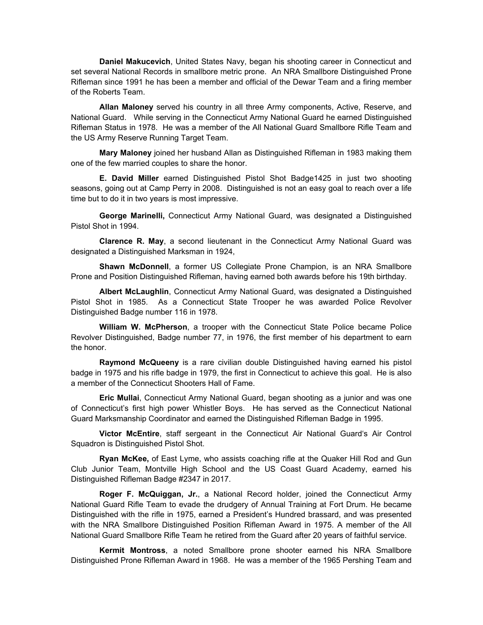**Daniel Makucevich**, United States Navy, began his shooting career in Connecticut and set several National Records in smallbore metric prone. An NRA Smallbore Distinguished Prone Rifleman since 1991 he has been a member and official of the Dewar Team and a firing member of the Roberts Team.

**Allan Maloney** served his country in all three Army components, Active, Reserve, and National Guard. While serving in the Connecticut Army National Guard he earned Distinguished Rifleman Status in 1978. He was a member of the All National Guard Smallbore Rifle Team and the US Army Reserve Running Target Team.

**Mary Maloney** joined her husband Allan as Distinguished Rifleman in 1983 making them one of the few married couples to share the honor.

**E. David Miller** earned Distinguished Pistol Shot Badge1425 in just two shooting seasons, going out at Camp Perry in 2008. Distinguished is not an easy goal to reach over a life time but to do it in two years is most impressive.

**George Marinelli,** Connecticut Army National Guard, was designated a Distinguished Pistol Shot in 1994.

**Clarence R. May**, a second lieutenant in the Connecticut Army National Guard was designated a Distinguished Marksman in 1924,

**Shawn McDonnell**, a former US Collegiate Prone Champion, is an NRA Smallbore Prone and Position Distinguished Rifleman, having earned both awards before his 19th birthday.

**Albert McLaughlin**, Connecticut Army National Guard, was designated a Distinguished Pistol Shot in 1985. As a Connecticut State Trooper he was awarded Police Revolver Distinguished Badge number 116 in 1978.

**William W. McPherson**, a trooper with the Connecticut State Police became Police Revolver Distinguished, Badge number 77, in 1976, the first member of his department to earn the honor.

**Raymond McQueeny** is a rare civilian double Distinguished having earned his pistol badge in 1975 and his rifle badge in 1979, the first in Connecticut to achieve this goal. He is also a member of the Connecticut Shooters Hall of Fame.

**Eric Mullai**, Connecticut Army National Guard, began shooting as a junior and was one of Connecticut's first high power Whistler Boys. He has served as the Connecticut National Guard Marksmanship Coordinator and earned the Distinguished Rifleman Badge in 1995.

**Victor McEntire**, staff sergeant in the Connecticut Air National Guard's Air Control Squadron is Distinguished Pistol Shot.

**Ryan McKee,** of East Lyme, who assists coaching rifle at the Quaker Hill Rod and Gun Club Junior Team, Montville High School and the US Coast Guard Academy, earned his Distinguished Rifleman Badge #2347 in 2017.

**Roger F. McQuiggan, Jr.**, a National Record holder, joined the Connecticut Army National Guard Rifle Team to evade the drudgery of Annual Training at Fort Drum. He became Distinguished with the rifle in 1975, earned a President's Hundred brassard, and was presented with the NRA Smallbore Distinguished Position Rifleman Award in 1975. A member of the All National Guard Smallbore Rifle Team he retired from the Guard after 20 years of faithful service.

**Kermit Montross**, a noted Smallbore prone shooter earned his NRA Smallbore Distinguished Prone Rifleman Award in 1968. He was a member of the 1965 Pershing Team and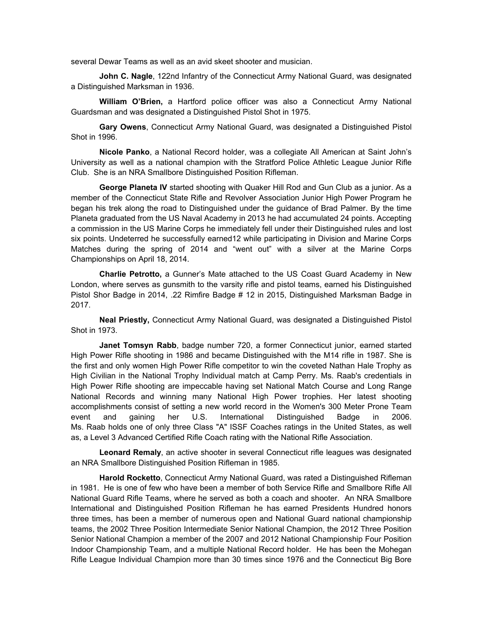several Dewar Teams as well as an avid skeet shooter and musician.

**John C. Nagle**, 122nd Infantry of the Connecticut Army National Guard, was designated a Distinguished Marksman in 1936.

**William O'Brien,** a Hartford police officer was also a Connecticut Army National Guardsman and was designated a Distinguished Pistol Shot in 1975.

**Gary Owens**, Connecticut Army National Guard, was designated a Distinguished Pistol Shot in 1996.

**Nicole Panko**, a National Record holder, was a collegiate All American at Saint John's University as well as a national champion with the Stratford Police Athletic League Junior Rifle Club. She is an NRA Smallbore Distinguished Position Rifleman.

**George Planeta IV** started shooting with Quaker Hill Rod and Gun Club as a junior. As a member of the Connecticut State Rifle and Revolver Association Junior High Power Program he began his trek along the road to Distinguished under the guidance of Brad Palmer. By the time Planeta graduated from the US Naval Academy in 2013 he had accumulated 24 points. Accepting a commission in the US Marine Corps he immediately fell under their Distinguished rules and lost six points. Undeterred he successfully earned12 while participating in Division and Marine Corps Matches during the spring of 2014 and "went out" with a silver at the Marine Corps Championships on April 18, 2014.

**Charlie Petrotto,** a Gunner's Mate attached to the US Coast Guard Academy in New London, where serves as gunsmith to the varsity rifle and pistol teams, earned his Distinguished Pistol Shor Badge in 2014, .22 Rimfire Badge # 12 in 2015, Distinguished Marksman Badge in 2017.

**Neal Priestly,** Connecticut Army National Guard, was designated a Distinguished Pistol Shot in 1973.

**Janet Tomsyn Rabb**, badge number 720, a former Connecticut junior, earned started High Power Rifle shooting in 1986 and became Distinguished with the M14 rifle in 1987. She is the first and only women High Power Rifle competitor to win the coveted Nathan Hale Trophy as High Civilian in the National Trophy Individual match at Camp Perry. Ms. Raab's credentials in High Power Rifle shooting are impeccable having set National Match Course and Long Range National Records and winning many National High Power trophies. Her latest shooting accomplishments consist of setting a new world record in the Women's 300 Meter Prone Team event and gaining her U.S. International Distinguished Badge in 2006. Ms. Raab holds one of only three Class "A" ISSF Coaches ratings in the United States, as well as, a Level 3 Advanced Certified Rifle Coach rating with the National Rifle Association.

**Leonard Remaly**, an active shooter in several Connecticut rifle leagues was designated an NRA Smallbore Distinguished Position Rifleman in 1985.

**Harold Rocketto**, Connecticut Army National Guard, was rated a Distinguished Rifleman in 1981. He is one of few who have been a member of both Service Rifle and Smallbore Rifle All National Guard Rifle Teams, where he served as both a coach and shooter. An NRA Smallbore International and Distinguished Position Rifleman he has earned Presidents Hundred honors three times, has been a member of numerous open and National Guard national championship teams, the 2002 Three Position Intermediate Senior National Champion, the 2012 Three Position Senior National Champion a member of the 2007 and 2012 National Championship Four Position Indoor Championship Team, and a multiple National Record holder. He has been the Mohegan Rifle League Individual Champion more than 30 times since 1976 and the Connecticut Big Bore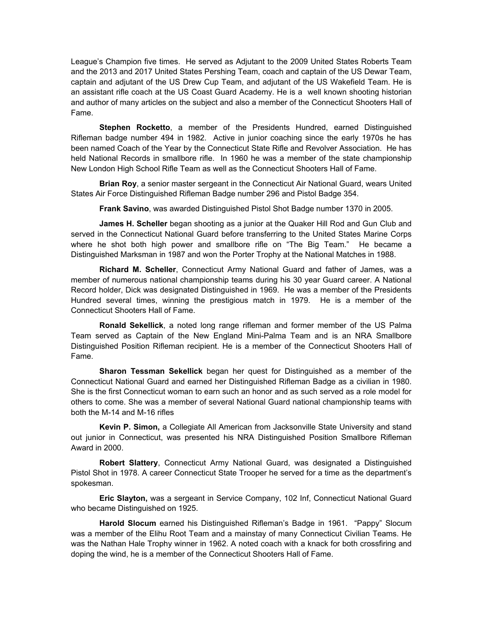League's Champion five times. He served as Adjutant to the 2009 United States Roberts Team and the 2013 and 2017 United States Pershing Team, coach and captain of the US Dewar Team, captain and adjutant of the US Drew Cup Team, and adjutant of the US Wakefield Team. He is an assistant rifle coach at the US Coast Guard Academy. He is a well known shooting historian and author of many articles on the subject and also a member of the Connecticut Shooters Hall of Fame.

**Stephen Rocketto**, a member of the Presidents Hundred, earned Distinguished Rifleman badge number 494 in 1982. Active in junior coaching since the early 1970s he has been named Coach of the Year by the Connecticut State Rifle and Revolver Association. He has held National Records in smallbore rifle. In 1960 he was a member of the state championship New London High School Rifle Team as well as the Connecticut Shooters Hall of Fame.

**Brian Roy**, a senior master sergeant in the Connecticut Air National Guard, wears United States Air Force Distinguished Rifleman Badge number 296 and Pistol Badge 354.

**Frank Savino**, was awarded Distinguished Pistol Shot Badge number 1370 in 2005.

**James H. Scheller** began shooting as a junior at the Quaker Hill Rod and Gun Club and served in the Connecticut National Guard before transferring to the United States Marine Corps where he shot both high power and smallbore rifle on "The Big Team." He became a Distinguished Marksman in 1987 and won the Porter Trophy at the National Matches in 1988.

**Richard M. Scheller**, Connecticut Army National Guard and father of James, was a member of numerous national championship teams during his 30 year Guard career. A National Record holder, Dick was designated Distinguished in 1969. He was a member of the Presidents Hundred several times, winning the prestigious match in 1979. He is a member of the Connecticut Shooters Hall of Fame.

**Ronald Sekellick**, a noted long range rifleman and former member of the US Palma Team served as Captain of the New England Mini-Palma Team and is an NRA Smallbore Distinguished Position Rifleman recipient. He is a member of the Connecticut Shooters Hall of Fame.

**Sharon Tessman Sekellick** began her quest for Distinguished as a member of the Connecticut National Guard and earned her Distinguished Rifleman Badge as a civilian in 1980. She is the first Connecticut woman to earn such an honor and as such served as a role model for others to come. She was a member of several National Guard national championship teams with both the M-14 and M-16 rifles

**Kevin P. Simon,** a Collegiate All American from Jacksonville State University and stand out junior in Connecticut, was presented his NRA Distinguished Position Smallbore Rifleman Award in 2000.

**Robert Slattery**, Connecticut Army National Guard, was designated a Distinguished Pistol Shot in 1978. A career Connecticut State Trooper he served for a time as the department's spokesman.

**Eric Slayton,** was a sergeant in Service Company, 102 Inf, Connecticut National Guard who became Distinguished on 1925.

**Harold Slocum** earned his Distinguished Rifleman's Badge in 1961. "Pappy" Slocum was a member of the Elihu Root Team and a mainstay of many Connecticut Civilian Teams. He was the Nathan Hale Trophy winner in 1962. A noted coach with a knack for both crossfiring and doping the wind, he is a member of the Connecticut Shooters Hall of Fame.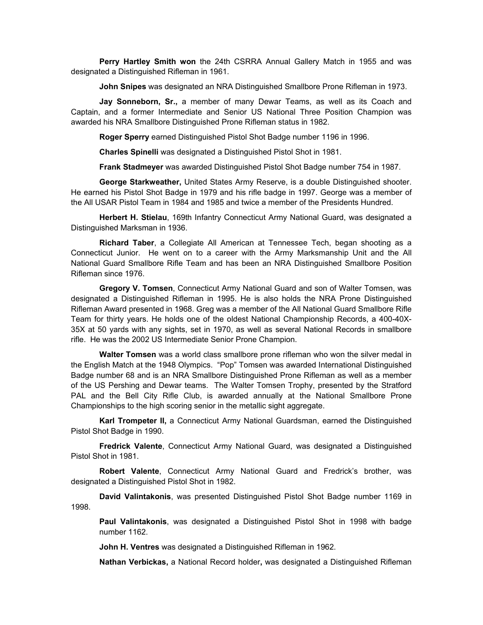**Perry Hartley Smith won** the 24th CSRRA Annual Gallery Match in 1955 and was designated a Distinguished Rifleman in 1961.

**John Snipes** was designated an NRA Distinguished Smallbore Prone Rifleman in 1973.

**Jay Sonneborn, Sr.,** a member of many Dewar Teams, as well as its Coach and Captain, and a former Intermediate and Senior US National Three Position Champion was awarded his NRA Smallbore Distinguished Prone Rifleman status in 1982.

**Roger Sperry** earned Distinguished Pistol Shot Badge number 1196 in 1996.

**Charles Spinelli** was designated a Distinguished Pistol Shot in 1981.

**Frank Stadmeyer** was awarded Distinguished Pistol Shot Badge number 754 in 1987.

**George Starkweather,** United States Army Reserve, is a double Distinguished shooter. He earned his Pistol Shot Badge in 1979 and his rifle badge in 1997. George was a member of the All USAR Pistol Team in 1984 and 1985 and twice a member of the Presidents Hundred.

**Herbert H. Stielau**, 169th Infantry Connecticut Army National Guard, was designated a Distinguished Marksman in 1936.

**Richard Taber**, a Collegiate All American at Tennessee Tech, began shooting as a Connecticut Junior. He went on to a career with the Army Marksmanship Unit and the All National Guard Smallbore Rifle Team and has been an NRA Distinguished Smallbore Position Rifleman since 1976.

**Gregory V. Tomsen**, Connecticut Army National Guard and son of Walter Tomsen, was designated a Distinguished Rifleman in 1995. He is also holds the NRA Prone Distinguished Rifleman Award presented in 1968. Greg was a member of the All National Guard Smallbore Rifle Team for thirty years. He holds one of the oldest National Championship Records, a 400-40X-35X at 50 yards with any sights, set in 1970, as well as several National Records in smallbore rifle. He was the 2002 US Intermediate Senior Prone Champion.

**Walter Tomsen** was a world class smallbore prone rifleman who won the silver medal in the English Match at the 1948 Olympics. "Pop" Tomsen was awarded International Distinguished Badge number 68 and is an NRA Smallbore Distinguished Prone Rifleman as well as a member of the US Pershing and Dewar teams. The Walter Tomsen Trophy, presented by the Stratford PAL and the Bell City Rifle Club, is awarded annually at the National Smallbore Prone Championships to the high scoring senior in the metallic sight aggregate.

**Karl Trompeter II,** a Connecticut Army National Guardsman, earned the Distinguished Pistol Shot Badge in 1990.

**Fredrick Valente**, Connecticut Army National Guard, was designated a Distinguished Pistol Shot in 1981.

**Robert Valente**, Connecticut Army National Guard and Fredrick's brother, was designated a Distinguished Pistol Shot in 1982.

**David Valintakonis**, was presented Distinguished Pistol Shot Badge number 1169 in 1998.

**Paul Valintakonis**, was designated a Distinguished Pistol Shot in 1998 with badge number 1162.

**John H. Ventres** was designated a Distinguished Rifleman in 1962.

**Nathan Verbickas,** a National Record holder**,** was designated a Distinguished Rifleman